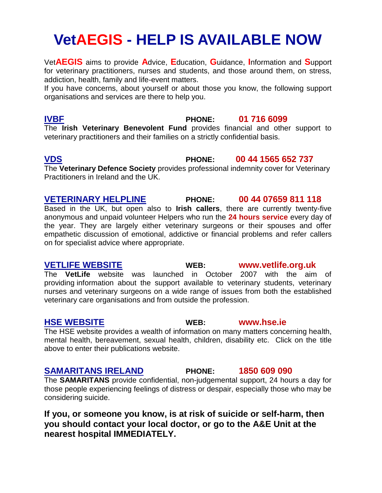# **VetAEGIS - HELP IS AVAILABLE NOW**

Vet**AEGIS** aims to provide **A**dvice, **E**ducation, **G**uidance, **I**nformation and **S**upport for veterinary practitioners, nurses and students, and those around them, on stress, addiction, health, family and life-event matters.

If you have concerns, about yourself or about those you know, the following support organisations and services are there to help you.

**IVBF PHONE: 01 716 6099** The **Irish Veterinary Benevolent Fund** provides financial and other support to veterinary practitioners and their families on a strictly confidential basis.

# **[VDS](http://www.veterinarydefencesociety.co.uk/) PHONE: 00 44 1565 652 737**

The **Veterinary Defence Society** provides professional indemnity cover for Veterinary Practitioners in Ireland and the UK.

### **VETERINARY HELPLINE PHONE: 00 44 07659 811 118** Based in the UK, but open also to **Irish callers**, there are currently twenty-five anonymous and unpaid volunteer Helpers who run the **24 hours service** every day of the year. They are largely either veterinary surgeons or their spouses and offer empathetic discussion of emotional, addictive or financial problems and refer callers on for specialist advice where appropriate.

**[VETLIFE WEBSITE](http://www.vetlife.org.uk/) WEB: www.vetlife.org.uk** The **VetLife** website was launched in October 2007 with the aim of providing information about the support available to veterinary students, veterinary nurses and veterinary surgeons on a wide range of issues from both the established veterinary care organisations and from outside the profession.

# **[HSE WEBSITE](http://www.hse.ie/eng/Publications/) WEB: www.hse.ie**

The HSE website provides a wealth of information on many matters concerning health, mental health, bereavement, sexual health, children, disability etc. Click on the title above to enter their publications website.

### **[SAMARITANS IRELAND](http://www.samaritans.org/talk_to_someone/find_my_local_branch/ireland.aspx) PHONE: 1850 609 090**

The **SAMARITANS** provide confidential, non-judgemental support, 24 hours a day for those people experiencing feelings of distress or despair, especially those who may be considering suicide.

**If you, or someone you know, is at risk of suicide or self-harm, then you should contact your local doctor, or go to the A&E Unit at the nearest hospital IMMEDIATELY.**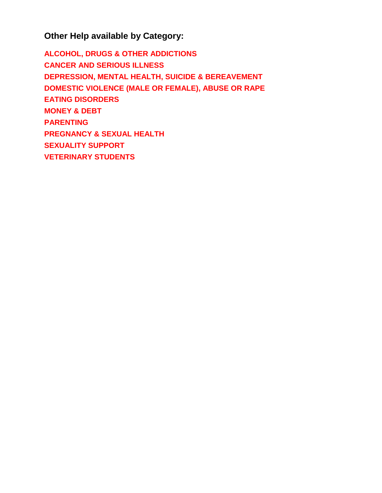**Other Help available by Category:**

**[ALCOHOL, DRUGS & OTHER ADDICTIONS](#page-2-0) CANCER [AND SERIOUS ILLNESS](#page-3-0) [DEPRESSION, MENTAL HEALTH, SUICIDE &](#page-4-0) BEREAVEMENT DOMESTIC VIOLENCE [\(MALE OR FEMALE\), ABUSE OR RAPE](#page-7-0) [EATING DISORDERS](#page-8-0) [MONEY & DEBT](#page-9-0) [PARENTING](#page-10-0) [PREGNANCY & SEXUAL HEALTH](#page-11-0) [SEXUALITY SUPPORT](#page-12-0) [VETERINARY STUDENTS](#page-13-0)**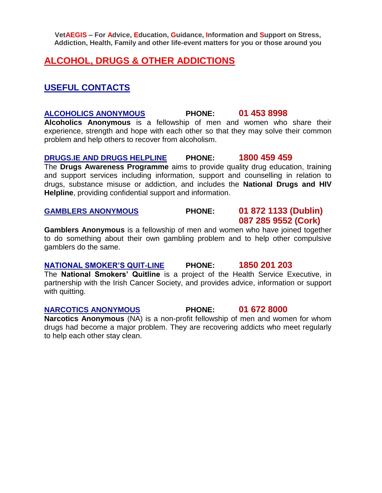# <span id="page-2-0"></span>**ALCOHOL, DRUGS & OTHER ADDICTIONS**

# **USEFUL CONTACTS**

# **[ALCOHOLICS ANONYMOUS](http://www.alcoholicsanonymous.ie/) PHONE: 01 453 8998**

**Alcoholics Anonymous** is a fellowship of men and women who share their experience, strength and hope with each other so that they may solve their common problem and help others to recover from alcoholism.

### **[DRUGS.IE AND DRUGS HELPLINE](http://www.drugs.ie/) PHONE: 1800 459 459**

The **Drugs Awareness Programme** aims to provide quality drug education, training and support services including information, support and counselling in relation to drugs, substance misuse or addiction, and includes the **National Drugs and HIV Helpline**, providing confidential support and information.

# **[GAMBLERS ANONYMOUS](http://www.gamblersanonymous.ie/) PHONE: 01 872 1133 (Dublin)**

**Gamblers Anonymous** is a fellowship of men and women who have joined together to do something about their own gambling problem and to help other compulsive gamblers do the same.

### **[NATIONAL SMOKER'S QUIT-LINE](http://www.cancer.ie/quitting/quitline.php) PHONE: 1850 201 203**

The **National Smokers' Quitline** is a project of the Health Service Executive, in partnership with the Irish Cancer Society, and provides advice, information or support with quitting.

## **[NARCOTICS ANONYMOUS](http://www.na.ireland.org/) PHONE: 01 672 8000**

**Narcotics Anonymous** (NA) is a non-profit fellowship of men and women for whom drugs had become a major problem. They are recovering addicts who meet regularly to help each other stay clean.

**087 285 9552 (Cork)**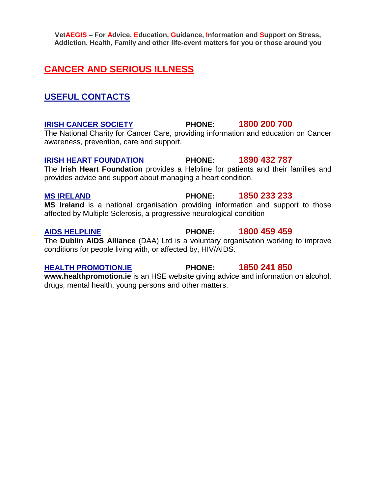# <span id="page-3-0"></span>**CANCER AND SERIOUS ILLNESS**

# **USEFUL CONTACTS**

# **[IRISH CANCER SOCIETY](http://www.cancer.ie/) PHONE: 1800 200 700**

The National Charity for Cancer Care, providing information and education on Cancer awareness, prevention, care and support.

### **[IRISH HEART FOUNDATION](http://www.irishheart.ie/iopen24/defaultarticle.php?cArticlePath=11_32) PHONE: 1890 432 787**

The **Irish Heart Foundation** provides a Helpline for patients and their families and provides advice and support about managing a heart condition.

### **[MS IRELAND](http://www.ms-society.ie/) PHONE: 1850 233 233**

**MS Ireland** is a national organisation providing information and support to those affected by Multiple Sclerosis, a progressive neurological condition

The **Dublin AIDS Alliance** (DAA) Ltd is a voluntary organisation working to improve conditions for people living with, or affected by, HIV/AIDS.

### **[HEALTH PROMOTION.IE](http://www.healthpromotion.ie/) PHONE: 1850 241 850**

**[www.healthpromotion.ie](http://www.healthpromotion.ie/)** is an HSE website giving advice and information on alcohol, drugs, mental health, young persons and other matters.

# **[AIDS HELPLINE](http://www.dublinaidsalliance.com/helpline.htm) PHONE: 1800 459 459**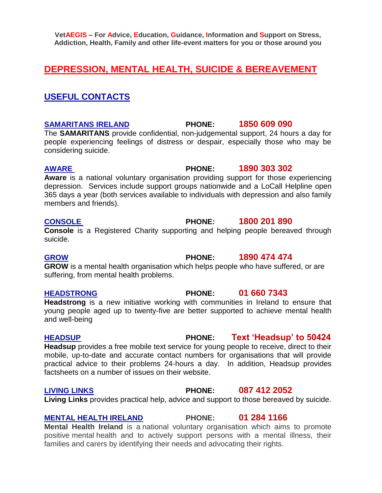# <span id="page-4-0"></span>**DEPRESSION, MENTAL HEALTH, SUICIDE & BEREAVEMENT**

# **USEFUL CONTACTS**

# **[SAMARITANS](http://www.samaritans.org/talk_to_someone/find_my_local_branch/ireland.aspx) IRELAND PHONE: 1850 609 090**

The **SAMARITANS** provide confidential, non-judgemental support, 24 hours a day for people experiencing feelings of distress or despair, especially those who may be considering suicide.

**Aware** is a national voluntary organisation providing support for those experiencing depression. Services include support groups nationwide and a LoCall Helpline open 365 days a year (both services available to individuals with depression and also family members and friends).

### **[CONSOLE](http://www.console.ie/) PHONE: 1800 201 890**

**Console** is a Registered Charity supporting and helping people bereaved through suicide.

# **[GROW](http://www.grow.ie/) PHONE: 1890 474 474**

**GROW** is a mental health organisation which helps people who have suffered, or are suffering, from mental health problems.

**Headstrong** is a new initiative working with communities in Ireland to ensure that young people aged up to twenty-five are better supported to achieve mental health and well-being

### **[HEADSUP](http://www.headsup.ie/) PHONE: Text 'Headsup' to 50424**

**Headsup** provides a free mobile text service for young people to receive, direct to their mobile, up-to-date and accurate contact numbers for organisations that will provide practical advice to their problems 24-hours a day. In addition, Headsup provides factsheets on a number of issues on their website.

**Living Links** provides practical help, advice and support to those bereaved by suicide.

# **[MENTAL HEALTH IRELAND](http://www.mentalhealthireland.ie/) PHONE: 01 284 1166**

**Mental Health Ireland** is a national voluntary organisation which aims to promote positive mental health and to actively support persons with a mental illness, their families and carers by identifying their needs and advocating their rights.

# **[HEADSTRONG](http://www.headstrong.ie/) PHONE: 01 660 7343**

# **[LIVING LINKS](http://www.livinglinks.ie/) PHONE: 087 412 2052**

# **[AWARE](http://www.aware.ie/) PHONE: 1890 303 302**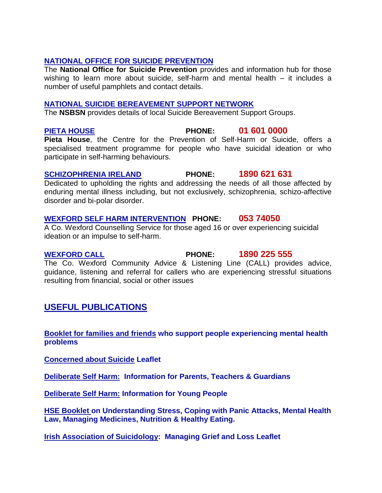# **[NATIONAL OFFICE FOR SUICIDE PREVENTION](http://www.nosp.ie/)**

The **National Office for Suicide Prevention** provides and information hub for those wishing to learn more about suicide, self-harm and mental health – it includes a number of useful pamphlets and contact details.

### **[NATIONAL SUICIDE BEREAVEMENT SUPPORT NETWORK](http://www.nsbsn.org/groupdirectory.htm)**

The **NSBSN** provides details of local Suicide Bereavement Support Groups.

# **[PIETA HOUSE](http://www.pieta.ie/) PHONE: 01 601 0000**

**Pieta House**, the Centre for the Prevention of Self-Harm or Suicide, offers a specialised treatment programme for people who have suicidal ideation or who participate in self-harming behaviours.

# **[SCHIZOPHRENIA IRELAND](http://www.sirl.ie/) PHONE: 1890 621 631**

Dedicated to upholding the rights and addressing the needs of all those affected by enduring mental illness including, but not exclusively, schizophrenia, schizo-affective disorder and bi-polar disorder.

# **[WEXFORD SELF HARM INTERVENTION](http://www.callhelpline.ie/sites%5Cwcp%5Cmedia%5Chsepdfs%5CWxSHIP.pdf) PHONE: 053 74050**

A Co. Wexford Counselling Service for those aged 16 or over experiencing suicidal ideation or an impulse to self-harm.

### **[WEXFORD CALL](http://www.wexfordpartnership.ie/Rural%20Helpline.htm) PHONE: 1890 225 555** The Co. Wexford Community Advice & Listening Line (CALL) provides advice,

guidance, listening and referral for callers who are experiencing stressful situations resulting from financial, social or other issues

# **USEFUL PUBLICATIONS**

**Booklet for families and friends [who support people experiencing mental health](http://www.hse.ie/eng/Publications/Mental_Health_and_Suicide_Prevention/The_Journey_Together_-_Carers_Handbook.pdf)  [problems](http://www.hse.ie/eng/Publications/Mental_Health_and_Suicide_Prevention/The_Journey_Together_-_Carers_Handbook.pdf)**

**[Concerned about Suicide](http://www.nosp.ie/concerned.pdf) Leaflet**

**[Deliberate Self Harm: Information for Parents, Teachers & Guardians](http://www.nosp.ie/selfharm_parents.pdf)**

**Deliberate Self Harm: [Information for Young People](http://www.nosp.ie/selfharm_young.pdf)**

**HSE Booklet on [Understanding Stress, Coping with Panic Attacks, Mental Health](http://www.hse.ie/eng/Publications/Mental_Health_and_Suicide_Prevention/Looking_Ahead.pdf)  [Law, Managing Medicines, Nutrition & Healthy Eating.](http://www.hse.ie/eng/Publications/Mental_Health_and_Suicide_Prevention/Looking_Ahead.pdf)**

**[Irish Association of Suicidology: Managing Grief and Loss Leaflet](http://www.ias.ie/docs/ManagingGriefandLossafterSuicide.pdf)**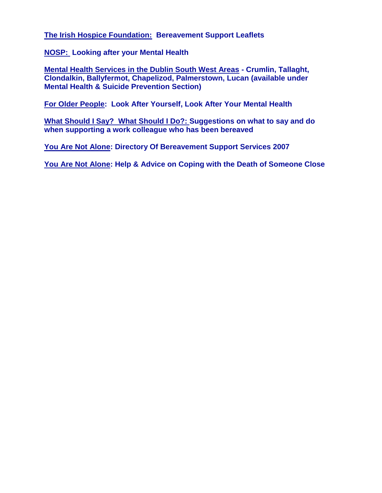**[The Irish Hospice Foundation: Bereavement Support Leaflets](http://www.hospice-foundation.ie/index.php?option=com_content&task=view&id=20&Itemid=11)**

**[NOSP: Looking after your Mental Health](http://www.nosp.ie/information.pdf)**

**[Mental Health Services in the Dublin South West Areas](http://www.hse.ie/eng/Publications/Mental_Health_and_Suicide_Prevention/Mental_Health_Support_Directory_2005.pdf) - Crumlin, Tallaght, [Clondalkin, Ballyfermot, Chapelizod, Palmerstown, Lucan \(available under](http://www.hse.ie/eng/Publications/Mental_Health_and_Suicide_Prevention/Mental_Health_Support_Directory_2005.pdf)  [Mental Health & Suicide Prevention Section\)](http://www.hse.ie/eng/Publications/Mental_Health_and_Suicide_Prevention/Mental_Health_Support_Directory_2005.pdf)**

**[For Older People: Look After Yourself, Look After Your Mental Health](http://www.nosp.ie/mental_health_08.pdf)**

**What Should I Say? What Should I Do?: Suggestions on what to say and do when supporting a work colleague who has been bereaved**

**[You Are Not Alone: Directory Of Bereavement Support Services 2007](http://www.hse.ie/eng/Publications/Mental_Health_and_Suicide_Prevention/NOSP_Bereavement_Support_Directory.pdf)**

**[You Are Not Alone: Help & Advice on Coping with the Death of Someone Close](http://www.hse.ie/eng/Publications/Mental_Health_and_Suicide_Prevention/You_Are_Not_Alone_booklet_.pdf)**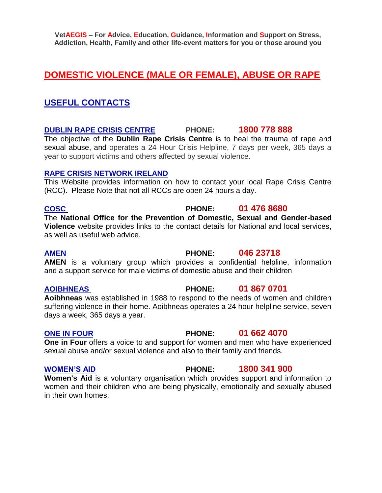# <span id="page-7-0"></span>**DOMESTIC VIOLENCE (MALE OR FEMALE), ABUSE OR RAPE**

# **USEFUL CONTACTS**

# **[DUBLIN RAPE CRISIS CENTRE](http://www.drcc.ie/) PHONE: 1800 778 888**

The objective of the **Dublin Rape Crisis Centre** is to heal the trauma of rape and sexual abuse, and operates a 24 Hour Crisis Helpline, 7 days per week, 365 days a year to support victims and others affected by sexual violence.

### **[RAPE CRISIS NETWORK IRELAND](http://www.rcni.ie/hlp_map.htm)**

This Website provides information on how to contact your local Rape Crisis Centre (RCC). Please Note that not all RCCs are open 24 hours a day.

### **[COSC](http://www.rcni.ie/hlp_map.htm) PHONE: 01 476 8680**

The **National Office for the Prevention of Domestic, Sexual and Gender-based Violence** website provides links to the contact details for National and local services, as well as useful web advice.

### **[AMEN](http://www.amen.ie/) PHONE: 046 23718**

**AMEN** is a voluntary group which provides a confidential helpline, information and a support service for male victims of domestic abuse and their children

**Aoibhneas** was established in 1988 to respond to the needs of women and children suffering violence in their home. Aoibhneas operates a 24 hour helpline service, seven days a week, 365 days a year.

# **[ONE IN FOUR](http://www.oneinfour.org/) PHONE: 01 662 4070**

**One in Four** offers a voice to and support for women and men who have experienced sexual abuse and/or sexual violence and also to their family and friends.

**Women's Aid** is a voluntary organisation which provides support and information to women and their children who are being physically, emotionally and sexually abused in their own homes.

### **[WOMEN'S AID](http://www.womensaid.ie/) PHONE: 1800 341 900**

# **[AOIBHNEAS](http://www.aoibhneas.org/) PHONE: 01 867 0701**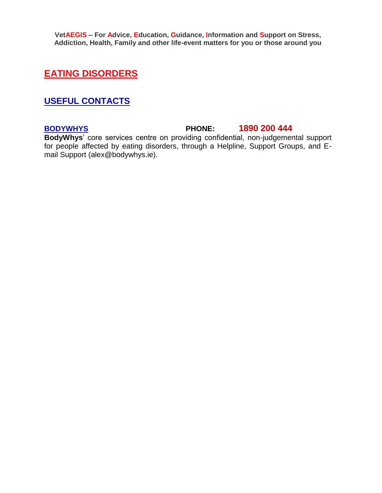# <span id="page-8-0"></span>**EATING DISORDERS**

# **USEFUL CONTACTS**

### **[BODYWHYS](http://www.bodywhys.ie/) PHONE: 1890 200 444 BodyWhys**' core services centre on providing confidential, non-judgemental support for people affected by eating disorders, through a Helpline, Support Groups, and Email Support (alex@bodywhys.ie).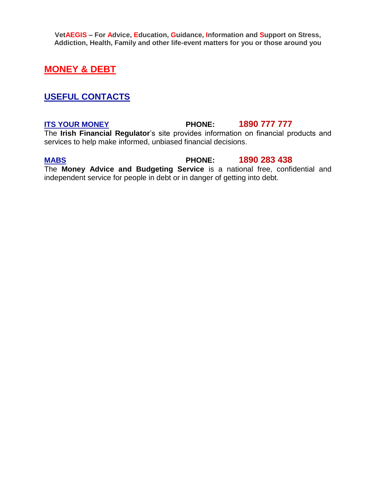<span id="page-9-0"></span>**MONEY & DEBT**

# **USEFUL CONTACTS**

**[ITS YOUR MONEY](http://www.itsyourmoney.ie/) PHONE: 1890 777 777**

The **Irish Financial Regulator**'s site provides information on financial products and services to help make informed, unbiased financial decisions.

**[MABS](http://www.mabs.ie/) PHONE: 1890 283 438**

The **Money Advice and Budgeting Service** is a national free, confidential and independent service for people in debt or in danger of getting into debt.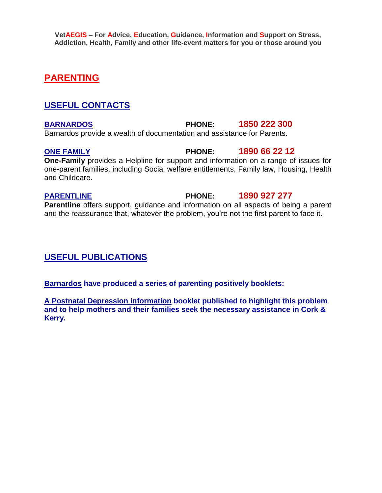# <span id="page-10-0"></span>**PARENTING**

# **USEFUL CONTACTS**

# **[BARNARDOS](http://www.barnardos.ie/training_and_resources/barnardos-publication-centre.html) PHONE: 1850 222 300**

Barnardos provide a wealth of documentation and assistance for Parents.

### **[ONE FAMILY](http://www.onefamily.ie/) PHONE: 1890 66 22 12**

**One-Family** provides a Helpline for support and information on a range of issues for one-parent families, including Social welfare entitlements, Family law, Housing, Health and Childcare.

### **[PARENTLINE](http://www.parentline.ie/) PHONE: 1890 927 277 Parentline** offers support, guidance and information on all aspects of being a parent and the reassurance that, whatever the problem, you're not the first parent to face it.

# **USEFUL PUBLICATIONS**

**Barnardos [have produced a series of parenting positively booklets:](http://www.barnardos.ie/training_and_resources/barnardos-publication-centre/publications_free.html)**

**A Postnatal Depression information [booklet published to highlight this problem](http://hsenet.hse.ie/GVFQAv%2fN1RhLGtH2VvrLUA%3d%3d/eng/Publications/Mental_Health_and_Suicide_Prevention/Postnatal_Depression_Information_Booklet.pdf?ImportedResourceId=GVFQAv%2fN1RhLGtH2VvrLUA%3d%3d)  [and to help mothers and their families seek the necessary assistance in Cork &](http://hsenet.hse.ie/GVFQAv%2fN1RhLGtH2VvrLUA%3d%3d/eng/Publications/Mental_Health_and_Suicide_Prevention/Postnatal_Depression_Information_Booklet.pdf?ImportedResourceId=GVFQAv%2fN1RhLGtH2VvrLUA%3d%3d)  [Kerry.](http://hsenet.hse.ie/GVFQAv%2fN1RhLGtH2VvrLUA%3d%3d/eng/Publications/Mental_Health_and_Suicide_Prevention/Postnatal_Depression_Information_Booklet.pdf?ImportedResourceId=GVFQAv%2fN1RhLGtH2VvrLUA%3d%3d)**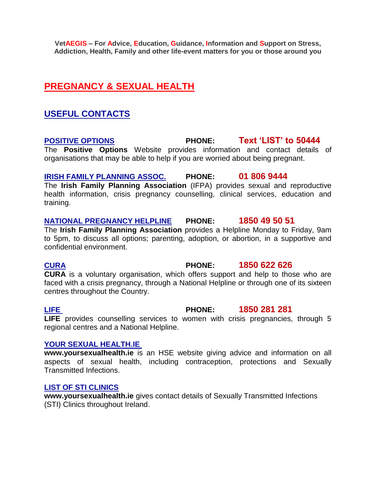# <span id="page-11-0"></span>**PREGNANCY & SEXUAL HEALTH**

# **USEFUL CONTACTS**

### **[POSITIVE OPTIONS](http://www.positiveoptions.ie/home.php) PHONE: Text 'LIST' to 50444** The **Positive Options** Website provides information and contact details of organisations that may be able to help if you are worried about being pregnant.

### **[IRISH FAMILY PLANNING ASSOC.](http://www.ifpa.ie/) PHONE: 01 806 9444**

The **Irish Family Planning Association** (IFPA) provides sexual and reproductive health information, crisis pregnancy counselling, clinical services, education and training.

### **[NATIONAL PREGNANCY HELPLINE](http://www.ifpa.ie/eng/Pregnancy-Counselling) PHONE: 1850 49 50 51**

The **Irish Family Planning Association** provides a Helpline Monday to Friday, 9am to 5pm, to discuss all options; parenting, adoption, or abortion, in a supportive and confidential environment.

# **[CURA](http://www.cura.ie/index.htm) PHONE: 1850 622 626**

**CURA** is a voluntary organisation, which offers support and help to those who are faced with a crisis pregnancy, through a National Helpline or through one of its sixteen centres throughout the Country.

### **[LIFE](http://www.life.ie/) PHONE: 1850 281 281**

**LIFE** provides counselling services to women with crisis pregnancies, through 5 regional centres and a National Helpline.

### **[YOUR SEXUAL HEALTH.IE](http://www.yoursexualhealth.ie/)**

**www.yoursexualhealth.ie** is an HSE website giving advice and information on all aspects of sexual health, including contraception, protections and Sexually Transmitted Infections.

### **[LIST OF STI CLINICS](http://www.yoursexualhealth.ie/your-advice-options/stigum-clinics)**

**[www.yoursexualhealth.ie](http://www.yoursexualhealth.ie/)** gives contact details of Sexually Transmitted Infections (STI) Clinics throughout Ireland.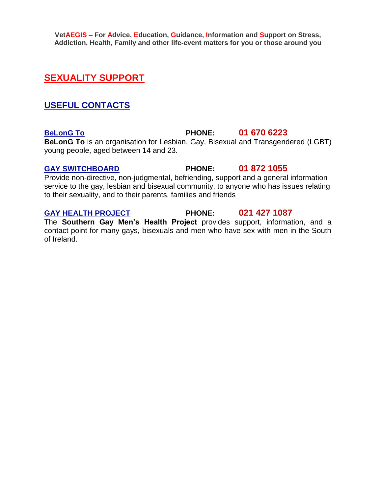# <span id="page-12-0"></span>**SEXUALITY SUPPORT**

# **USEFUL CONTACTS**

**[BeLonG To](http://www.belongto.org/) PHONE: 01 670 6223**

**BeLonG To** is an organisation for Lesbian, Gay, Bisexual and Transgendered (LGBT) young people, aged between 14 and 23.

### **[GAY SWITCHBOARD](http://www.gayswitchboard.ie/) PHONE: 01 872 1055**

Provide non-directive, non-judgmental, befriending, support and a general information service to the gay, lesbian and bisexual community, to anyone who has issues relating to their sexuality, and to their parents, families and friends

### **[GAY HEALTH PROJECT](http://www.gayhealthproject.com/sgmhp/index.html) PHONE: 021 427 1087**

The **Southern Gay Men's Health Project** provides support, information, and a contact point for many gays, bisexuals and men who have sex with men in the South of Ireland.